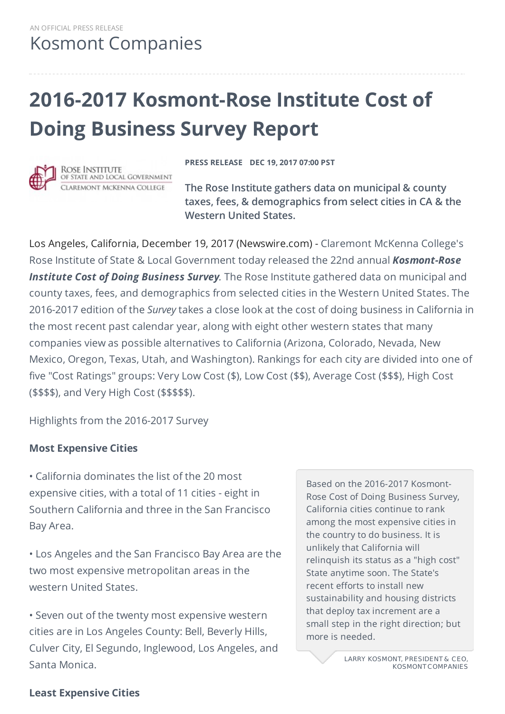# **2016-2017 Kosmont-Rose Institute Cost of Doing Business Survey Report**



ROSE INSTITUTE OF STATE AND LOCAL GOVERNMENT CLAREMONT MCKENNA COLLEGE

**PRESS RELEASE DEC 19, 2017 07:00 PST**

**The Rose Institute gathers data on municipal & county taxes, fees, & demographics from select cities in CA & the Western United States.**

Los Angeles, California, December 19, 2017 (Newswire.com) - Claremont McKenna College's Rose Institute of State & Local Government today released the 22nd annual *Kosmont-Rose Institute Cost of Doing Business Survey.* The Rose Institute gathered data on municipal and county taxes, fees, and demographics from selected cities in the Western United States. The 2016-2017 edition of the *Survey* takes a close look at the cost of doing business in California in the most recent past calendar year, along with eight other western states that many companies view as possible alternatives to California (Arizona, Colorado, Nevada, New Mexico, Oregon, Texas, Utah, and Washington). Rankings for each city are divided into one of five "Cost Ratings" groups: Very Low Cost (\$), Low Cost (\$\$), Average Cost (\$\$\$), High Cost (\$\$\$\$), and Very High Cost (\$\$\$\$\$).

Highlights from the 2016-2017 Survey

#### **Most Expensive Cities**

• California dominates the list of the 20 most expensive cities, with a total of 11 cities - eight in Southern California and three in the San Francisco Bay Area.

• Los Angeles and the San Francisco Bay Area are the two most expensive metropolitan areas in the western United States.

• Seven out of the twenty most expensive western cities are in Los Angeles County: Bell, Beverly Hills, Culver City, El Segundo, Inglewood, Los Angeles, and Santa Monica.

Based on the 2016-2017 Kosmont-Rose Cost of Doing Business Survey, California cities continue to rank among the most expensive cities in the country to do business. It is unlikely that California will relinquish its status as a "high cost" State anytime soon. The State's recent efforts to install new sustainability and housing districts that deploy tax increment are a small step in the right direction; but more is needed.

> LARRY KOSMONT, PRESIDENT & CEO. **KOSMONT COMPANIES**

#### **Least Expensive Cities**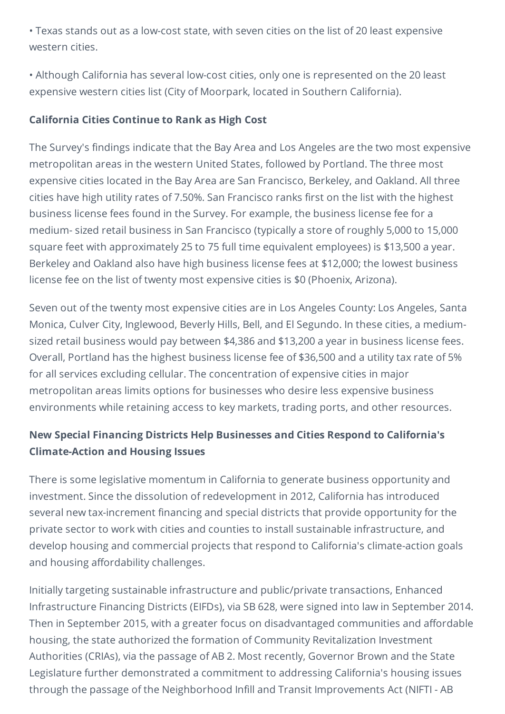• Texas stands out as a low-cost state, with seven cities on the list of 20 least expensive western cities.

• Although California has several low-cost cities, only one is represented on the 20 least expensive western cities list (City of Moorpark, located in Southern California).

#### **California Cities Continue to Rank as High Cost**

The Survey's findings indicate that the Bay Area and Los Angeles are the two most expensive metropolitan areas in the western United States, followed by Portland. The three most expensive cities located in the Bay Area are San Francisco, Berkeley, and Oakland. All three cities have high utility rates of 7.50%. San Francisco ranks first on the list with the highest business license fees found in the Survey. For example, the business license fee for a medium- sized retail business in San Francisco (typically a store of roughly 5,000 to 15,000 square feet with approximately 25 to 75 full time equivalent employees) is \$13,500 a year. Berkeley and Oakland also have high business license fees at \$12,000; the lowest business license fee on the list of twenty most expensive cities is \$0 (Phoenix, Arizona).

Seven out of the twenty most expensive cities are in Los Angeles County: Los Angeles, Santa Monica, Culver City, Inglewood, Beverly Hills, Bell, and El Segundo. In these cities, a mediumsized retail business would pay between \$4,386 and \$13,200 a year in business license fees. Overall, Portland has the highest business license fee of \$36,500 and a utility tax rate of 5% for all services excluding cellular. The concentration of expensive cities in major metropolitan areas limits options for businesses who desire less expensive business environments while retaining access to key markets, trading ports, and other resources.

### **New Special Financing Districts Help Businesses and Cities Respond to California's Climate-Action and Housing Issues**

There is some legislative momentum in California to generate business opportunity and investment. Since the dissolution of redevelopment in 2012, California has introduced several new tax-increment financing and special districts that provide opportunity for the private sector to work with cities and counties to install sustainable infrastructure, and develop housing and commercial projects that respond to California's climate-action goals and housing affordability challenges.

Initially targeting sustainable infrastructure and public/private transactions, Enhanced Infrastructure Financing Districts (EIFDs), via SB 628, were signed into law in September 2014. Then in September 2015, with a greater focus on disadvantaged communities and affordable housing, the state authorized the formation of Community Revitalization Investment Authorities (CRIAs), via the passage of AB 2. Most recently, Governor Brown and the State Legislature further demonstrated a commitment to addressing California's housing issues through the passage of the Neighborhood Infill and Transit Improvements Act (NIFTI - AB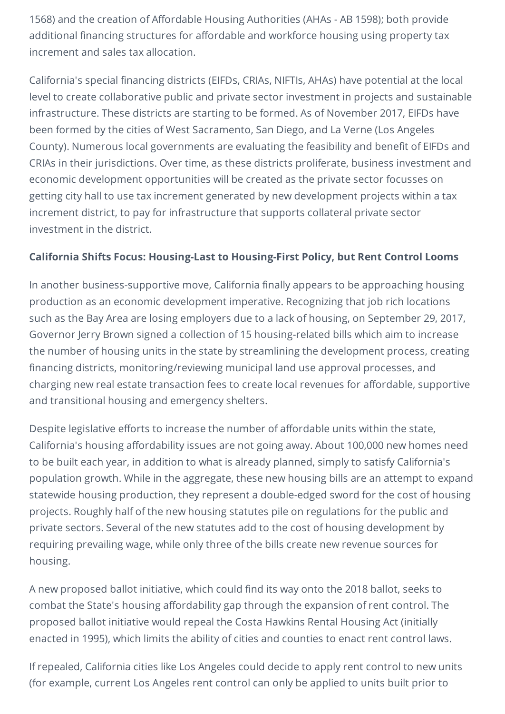1568) and the creation of Affordable Housing Authorities (AHAs - AB 1598); both provide additional financing structures for affordable and workforce housing using property tax increment and sales tax allocation.

California's special financing districts (EIFDs, CRIAs, NIFTIs, AHAs) have potential at the local level to create collaborative public and private sector investment in projects and sustainable infrastructure. These districts are starting to be formed. As of November 2017, EIFDs have been formed by the cities of West Sacramento, San Diego, and La Verne (Los Angeles County). Numerous local governments are evaluating the feasibility and benefit of EIFDs and CRIAs in their jurisdictions. Over time, as these districts proliferate, business investment and economic development opportunities will be created as the private sector focusses on getting city hall to use tax increment generated by new development projects within a tax increment district, to pay for infrastructure that supports collateral private sector investment in the district.

#### **California Shifts Focus: Housing-Last to Housing-First Policy, but Rent Control Looms**

In another business-supportive move, California finally appears to be approaching housing production as an economic development imperative. Recognizing that job rich locations such as the Bay Area are losing employers due to a lack of housing, on September 29, 2017, Governor Jerry Brown signed a collection of 15 housing-related bills which aim to increase the number of housing units in the state by streamlining the development process, creating financing districts, monitoring/reviewing municipal land use approval processes, and charging new real estate transaction fees to create local revenues for affordable, supportive and transitional housing and emergency shelters.

Despite legislative efforts to increase the number of affordable units within the state, California's housing affordability issues are not going away. About 100,000 new homes need to be built each year, in addition to what is already planned, simply to satisfy California's population growth. While in the aggregate, these new housing bills are an attempt to expand statewide housing production, they represent a double-edged sword for the cost of housing projects. Roughly half of the new housing statutes pile on regulations for the public and private sectors. Several of the new statutes add to the cost of housing development by requiring prevailing wage, while only three of the bills create new revenue sources for housing.

A new proposed ballot initiative, which could find its way onto the 2018 ballot, seeks to combat the State's housing affordability gap through the expansion of rent control. The proposed ballot initiative would repeal the Costa Hawkins Rental Housing Act (initially enacted in 1995), which limits the ability of cities and counties to enact rent control laws.

If repealed, California cities like Los Angeles could decide to apply rent control to new units (for example, current Los Angeles rent control can only be applied to units built prior to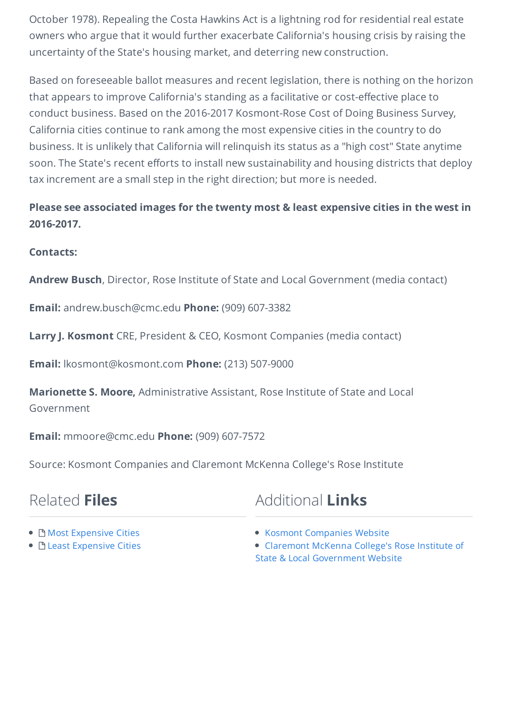October 1978). Repealing the Costa Hawkins Act is a lightning rod for residential real estate owners who argue that it would further exacerbate California's housing crisis by raising the uncertainty of the State's housing market, and deterring new construction.

Based on foreseeable ballot measures and recent legislation, there is nothing on the horizon that appears to improve California's standing as a facilitative or cost-effective place to conduct business. Based on the 2016-2017 Kosmont-Rose Cost of Doing Business Survey, California cities continue to rank among the most expensive cities in the country to do business. It is unlikely that California will relinquish its status as a "high cost" State anytime soon. The State's recent efforts to install new sustainability and housing districts that deploy tax increment are a small step in the right direction; but more is needed.

### **Please see associated images for the twenty most & least expensive cities in the west in 2016-2017.**

#### **Contacts:**

**Andrew Busch**, Director, Rose Institute of State and Local Government (media contact)

**Email:** andrew.busch@cmc.edu **Phone:** (909) 607-3382

**Larry J. Kosmont** CRE, President & CEO, Kosmont Companies (media contact)

**Email:** lkosmont@kosmont.com **Phone:** (213) 507-9000

**Marionette S. Moore,** Administrative Assistant, Rose Institute of State and Local Government

**Email:** mmoore@cmc.edu **Phone:** (909) 607-7572

Source: Kosmont Companies and Claremont McKenna College's Rose Institute

## Related **Files**

## Additional **Links**

- B Most [Expensive](https://www.newswire.com/files/52/e9/f2b4e18121f694fdf1239515fe5c.jpg) Cities
- B Least [Expensive](https://www.newswire.com/files/28/ef/81a96d22471a4a66317923f207e1.jpg) Cities
- Kosmont [Companies](https://www.kosmont.com/) Website
- Claremont McKenna College's Rose Institute of State & Local [Government](http://roseinstitute.org/research-overview/kosmont-rose-institute-cost-of-doing-business-survey/) Website